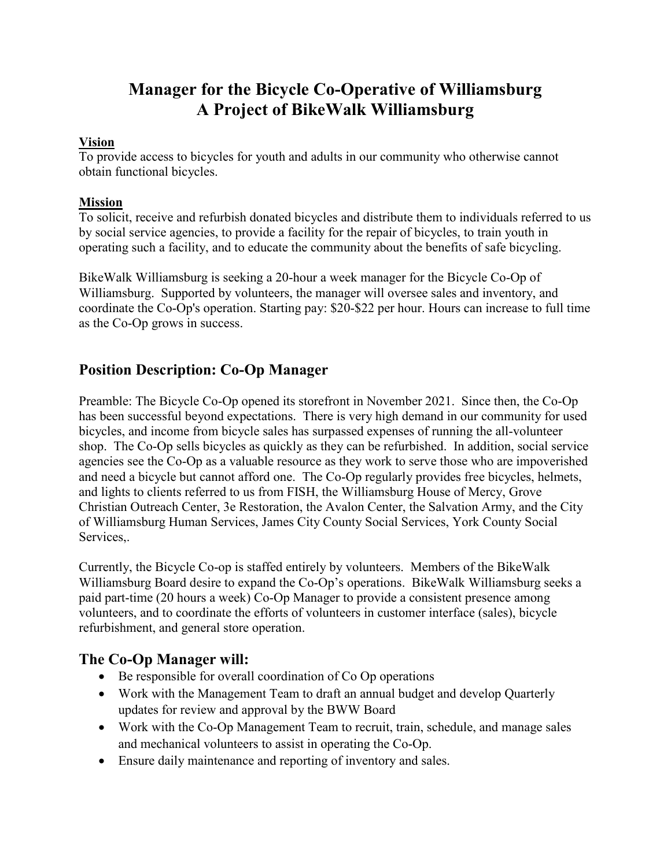# **Manager for the Bicycle Co-Operative of Williamsburg A Project of BikeWalk Williamsburg**

#### **Vision**

To provide access to bicycles for youth and adults in our community who otherwise cannot obtain functional bicycles.

### **Mission**

To solicit, receive and refurbish donated bicycles and distribute them to individuals referred to us by social service agencies, to provide a facility for the repair of bicycles, to train youth in operating such a facility, and to educate the community about the benefits of safe bicycling.

BikeWalk Williamsburg is seeking a 20-hour a week manager for the Bicycle Co-Op of Williamsburg. Supported by volunteers, the manager will oversee sales and inventory, and coordinate the Co-Op's operation. Starting pay: \$20-\$22 per hour. Hours can increase to full time as the Co-Op grows in success.

## **Position Description: Co-Op Manager**

Preamble: The Bicycle Co-Op opened its storefront in November 2021. Since then, the Co-Op has been successful beyond expectations. There is very high demand in our community for used bicycles, and income from bicycle sales has surpassed expenses of running the all-volunteer shop. The Co-Op sells bicycles as quickly as they can be refurbished. In addition, social service agencies see the Co-Op as a valuable resource as they work to serve those who are impoverished and need a bicycle but cannot afford one. The Co-Op regularly provides free bicycles, helmets, and lights to clients referred to us from FISH, the Williamsburg House of Mercy, Grove Christian Outreach Center, 3e Restoration, the Avalon Center, the Salvation Army, and the City of Williamsburg Human Services, James City County Social Services, York County Social Services,.

Currently, the Bicycle Co-op is staffed entirely by volunteers. Members of the BikeWalk Williamsburg Board desire to expand the Co-Op's operations. BikeWalk Williamsburg seeks a paid part-time (20 hours a week) Co-Op Manager to provide a consistent presence among volunteers, and to coordinate the efforts of volunteers in customer interface (sales), bicycle refurbishment, and general store operation.

## **The Co-Op Manager will:**

- Be responsible for overall coordination of Co Op operations
- Work with the Management Team to draft an annual budget and develop Quarterly updates for review and approval by the BWW Board
- Work with the Co-Op Management Team to recruit, train, schedule, and manage sales and mechanical volunteers to assist in operating the Co-Op.
- Ensure daily maintenance and reporting of inventory and sales.